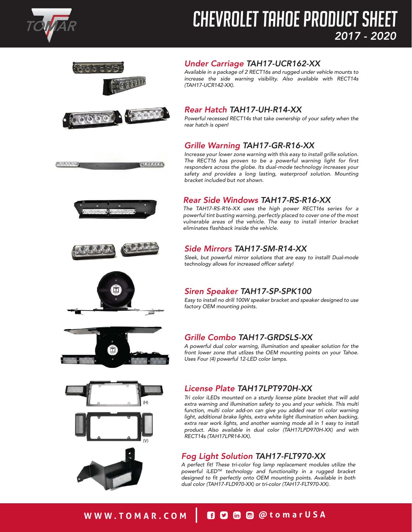

れももちさんもの

# CHEVROLET TAHOE PRODUCT SHEET *2017 - 2020*



## *Under Carriage TAH17-UCR162-XX*

*[Available in a package of 2 RECT16s and rugged under vehicle mounts to](https://www.tomar.com/shop/chevy-tahoe/tahoe-under-carriage/)  increase the side warning visibility. Also available with RECT14s (TAH17-UCR142-XX).*



(de elección)

#### *[Rear Hatch TAH17-UH-R14-XX](https://www.tomar.com/shop/chevy-tahoe/tahoe-rear-hatch/)*

*Powerful recessed RECT14s that take ownership of your safety when the rear hatch is open!*

#### *[Grille Warning TAH17-GR-R16-XX](https://www.tomar.com/shop/chevy-tahoe/tahoe-grille-warning/)*

*Rear Side Windows TAH17-RS-R16-XX*

*Increase your lower zone warning with this easy to install grille solution. The RECT16 has proven to be a powerful warning light for first responders across the globe. Its dual-mode technology increases your safety and provides a long lasting, waterproof solution. Mounting bracket included but not shown.* 

*The TAH17-RS-R16-XX uses the high power RECT16s series for a powerful tint busting warning, perfectly placed to cover one of the most [vulnerable areas of the vehicle. The easy to install interior bracket](https://www.tomar.com/shop/chevy-tahoe/tahoe-rear-side-windows/)* 





## *[Side Mirrors TAH17-SM-R14-XX](https://www.tomar.com/shop/chevy-tahoe/tahoe-side-mirrors/)*

*eliminates flashback inside the vehicle.*

*Sleek, but powerful mirror solutions that are easy to install! Dual-mode technology allows for increased officer safety!*



#### *[Siren Speaker TAH17-SP-SPK100](https://www.tomar.com/shop/chevy-tahoe/tahoe-siren-speaker/)*

*Easy to install no drill 100W speaker bracket and speaker designed to use factory OEM mounting points.* 



## *[Grille Combo TAH17-GRDSLS-XX](https://www.tomar.com/product-category/chevy-tahoe/grille-combo/)*

*A powerful dual color warning, illumination and speaker solution for the front lower zone that utlizes the OEM mounting points on your Tahoe. Uses Four (4) powerful 12-LED color lamps.*





## *[License Plate TAH17LPT970H-XX](https://www.tomar.com/product-category/chevy-tahoe/license-plate-chevy-tahoe/)*

*Tri color iLEDs mounted on a sturdy license plate bracket that will add extra warning and illumination safety to you and your vehicle. This multi function, multi color add-on can give you added rear tri color warning*  light, additional brake lights, extra white light illumination when backing, *extra rear work lights, and another warning mode all in 1 easy to install product. Also available in dual color (TAH17LPD970H-XX) and with RECT14s (TAH17LPR14-XX).*

## *[Fog Light Solution TAH17-FLT970-XX](https://www.tomar.com/product-category/chevy-tahoe/fog-light-solution/)*

*A perfect fit! These tri-color fog lamp replacement modules utilize the powerful iLEDTM technology and functionality in a rugged bracket designed to fit perfectly onto OEM mounting points. Available in both dual color (TAH17-FLD970-XX) or tri-color (TAH17-FLT970-XX).*

# WWW.TOMAR.COM **& C C C C** @ @tomarUSA